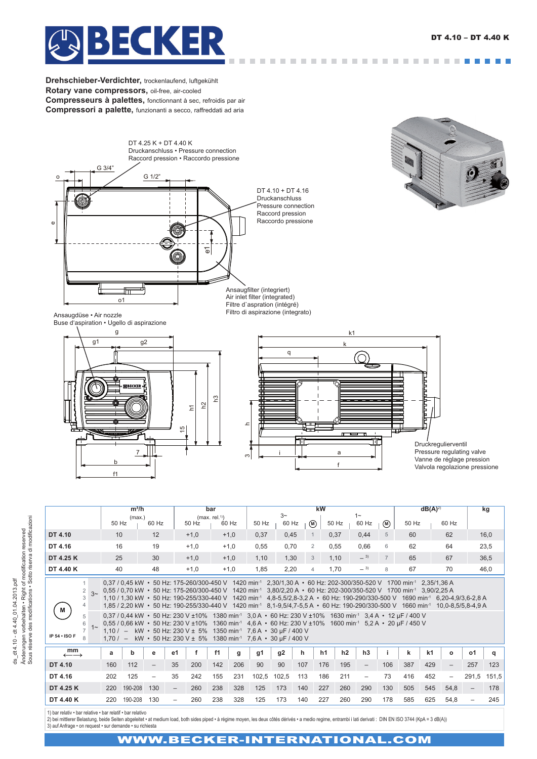$\sim 10^{-10}$ 



**Drehschieber-Verdichter,** trockenlaufend, luftgekühlt **Rotary vane compressors,** oil-free, air-cooled **Compresseurs à palettes,** fonctionnant à sec, refroidis par air **Compressori a palette,** funzionanti a secco, raffreddati ad aria





Air inlet filter (integrated) Filtre d'aspration (intégré) Filtro di aspirazione (integrato)

Ansaugdüse • Air nozzle Buse d'aspiration • Ugello di aspirazione





Druckregulierventil Pressure regulating valve Vanne de réglage pression Valvola regolazione pressione

Änderungen vorbehalten • Right of modification reserved<br>Sous réserve des modifications • Sotto riserva di modificazioni Sous réserve des modifications • Sotto riserva di modificazioni Änderungen vorbehalten • Right of modification reserved ds\_dt 4.10 - dt 4.40 \_01.04.2013.pdf ds\_dt 4.10 - dt 4.40\_01.04.2013.pdf

|                                                                       | $m^3/h$                                                                                                                                                                                                                                                                                                                                                                                                                                                                                                                                                                                                                                                                                                                                                                                                                                                                                                                                                                                                                                                |         |                          |                                             | bar    |        |       | <b>kW</b> |              |     |                |                |                          |                |     | $dB(A)^{2}$    |                          |                   | kg    |
|-----------------------------------------------------------------------|--------------------------------------------------------------------------------------------------------------------------------------------------------------------------------------------------------------------------------------------------------------------------------------------------------------------------------------------------------------------------------------------------------------------------------------------------------------------------------------------------------------------------------------------------------------------------------------------------------------------------------------------------------------------------------------------------------------------------------------------------------------------------------------------------------------------------------------------------------------------------------------------------------------------------------------------------------------------------------------------------------------------------------------------------------|---------|--------------------------|---------------------------------------------|--------|--------|-------|-----------|--------------|-----|----------------|----------------|--------------------------|----------------|-----|----------------|--------------------------|-------------------|-------|
|                                                                       | (max.)<br>50 Hz<br>60 Hz                                                                                                                                                                                                                                                                                                                                                                                                                                                                                                                                                                                                                                                                                                                                                                                                                                                                                                                                                                                                                               |         |                          | (max. rel. <sup>1</sup> )<br>50 Hz<br>60 Hz |        |        | 50 Hz | $3-$      | 60 Hz<br>(M) |     | 50 Hz          | $1 -$<br>60 Hz |                          | 50 Hz          |     | 60 Hz          |                          |                   |       |
|                                                                       |                                                                                                                                                                                                                                                                                                                                                                                                                                                                                                                                                                                                                                                                                                                                                                                                                                                                                                                                                                                                                                                        |         |                          |                                             |        |        |       |           |              |     |                |                |                          | (M)            |     |                |                          |                   |       |
| DT 4.10                                                               | 10                                                                                                                                                                                                                                                                                                                                                                                                                                                                                                                                                                                                                                                                                                                                                                                                                                                                                                                                                                                                                                                     |         | 12                       |                                             | $+1,0$ | $+1,0$ |       | 0,37      | 0,45         |     | $\mathbf{1}$   | 0,37           | 0,44                     | 5              | 60  |                | 62                       |                   | 16,0  |
| DT 4.16                                                               | 16                                                                                                                                                                                                                                                                                                                                                                                                                                                                                                                                                                                                                                                                                                                                                                                                                                                                                                                                                                                                                                                     |         | 19                       |                                             | $+1,0$ | $+1,0$ |       | 0,55      | 0,70         |     | $\overline{2}$ | 0,55           | 0,66                     | 6              | 62  |                | 64                       |                   | 23,5  |
| DT 4.25 K                                                             | 25                                                                                                                                                                                                                                                                                                                                                                                                                                                                                                                                                                                                                                                                                                                                                                                                                                                                                                                                                                                                                                                     |         | 30                       |                                             | $+1,0$ | $+1,0$ |       | 1,10      | 1,30         |     | 3              | 1,10           | $-3)$                    | $\overline{7}$ | 65  |                | 67                       |                   | 36,5  |
| DT 4.40 K                                                             | 40                                                                                                                                                                                                                                                                                                                                                                                                                                                                                                                                                                                                                                                                                                                                                                                                                                                                                                                                                                                                                                                     |         | 48                       |                                             | $+1,0$ | $+1,0$ |       | 1,85      | 2,20         |     | $\overline{4}$ | 1.70           | $-3$                     | 8              | 67  |                | 70                       |                   | 46,0  |
| 2<br>$3\sim$<br>3<br>4<br>M<br>5<br>6<br>$1 -$<br>IP $54 \cdot$ ISO F | 0,37 / 0,45 kW • 50 Hz: 175-260/300-450 V 1420 min <sup>-1</sup> 2,30/1,30 A • 60 Hz: 202-300/350-520 V 1700 min <sup>-1</sup> 2,35/1,36 A<br>0,55 / 0,70 kW • 50 Hz: 175-260/300-450 V 1420 min <sup>-1</sup> 3,80/2,20 A • 60 Hz: 202-300/350-520 V 1700 min <sup>-1</sup> 3,90/2,25 A<br>1,10 / 1,30 kW • 50 Hz: 190-255/330-440 V 1420 min <sup>-1</sup> 4,8-5,5/2,8-3,2 A • 60 Hz: 190-290/330-500 V 1690 min <sup>-1</sup> 6,20-4,9/3,6-2,8 A<br>1,85 / 2,20 kW • 50 Hz: 190-255/330-440 V 1420 min <sup>-1</sup> 8,1-9,5/4,7-5,5 A • 60 Hz: 190-290/330-500 V 1660 min <sup>-1</sup> 10,0-8,5/5,8-4,9 A<br>0,37 / 0,44 kW • 50 Hz: 230 V ±10% 1380 min <sup>-1</sup> 3,0 A • 60 Hz: 230 V ±10% 1630 min <sup>-1</sup> 3,4 A • 12 µF / 400 V<br>0,55 / 0,66 kW • 50 Hz: 230 V ±10% 1360 min <sup>-1</sup> 4,6 A • 60 Hz: 230 V ±10% 1600 min <sup>-1</sup> 5,2 A • 20 µF / 450 V<br>1,10 / - kW • 50 Hz: 230 V ± 5% 1350 min <sup>-1</sup> 7,6 A • 30 µF / 400 V<br>1,70 / - kW • 50 Hz: 230 V ± 5% 1380 min <sup>-1</sup> 7,6 A • 30 µF / 400 V |         |                          |                                             |        |        |       |           |              |     |                |                |                          |                |     |                |                          |                   |       |
| mm<br>$\leftarrow \rightarrow$                                        | a                                                                                                                                                                                                                                                                                                                                                                                                                                                                                                                                                                                                                                                                                                                                                                                                                                                                                                                                                                                                                                                      | b       | е                        | e1                                          | f      | f1     | g     | g1        | q2           | h.  | h1             | h2             | h3                       |                | k   | k <sub>1</sub> | $\mathbf{o}$             | <b>o1</b>         | a     |
| DT 4.10                                                               | 160                                                                                                                                                                                                                                                                                                                                                                                                                                                                                                                                                                                                                                                                                                                                                                                                                                                                                                                                                                                                                                                    | 112     | $\qquad \qquad -$        | 35                                          | 200    | 142    | 206   | 90        | 90           | 107 |                | 176<br>195     | $\overline{\phantom{0}}$ | 106            | 387 | 429            | $\overline{\phantom{0}}$ | 257               | 123   |
| DT 4.16                                                               | 202                                                                                                                                                                                                                                                                                                                                                                                                                                                                                                                                                                                                                                                                                                                                                                                                                                                                                                                                                                                                                                                    | 125     | $\overline{\phantom{m}}$ | 35                                          | 242    | 155    | 231   | 102,5     | 102,5        | 113 |                | 211<br>186     | $\overline{\phantom{0}}$ | 73             | 416 | 452            | $\overline{\phantom{0}}$ | 291,5             | 151,5 |
| DT 4.25 K                                                             | 220                                                                                                                                                                                                                                                                                                                                                                                                                                                                                                                                                                                                                                                                                                                                                                                                                                                                                                                                                                                                                                                    | 190-208 | 130                      | $-$                                         | 260    | 238    | 328   | 125       | 173          | 140 | 227            | 260            | 290                      | 130            | 505 | 545            | 54,8                     | $\qquad \qquad -$ | 178   |
| DT 4.40 K                                                             | 220                                                                                                                                                                                                                                                                                                                                                                                                                                                                                                                                                                                                                                                                                                                                                                                                                                                                                                                                                                                                                                                    | 190-208 | 130                      |                                             | 260    | 238    | 328   | 125       | 173          | 140 | 227            | 260            | 290                      | 178            | 585 | 625            | 54,8                     |                   | 245   |
|                                                                       |                                                                                                                                                                                                                                                                                                                                                                                                                                                                                                                                                                                                                                                                                                                                                                                                                                                                                                                                                                                                                                                        |         |                          |                                             |        |        |       |           |              |     |                |                |                          |                |     |                |                          |                   |       |

1) bar relativ ∙ bar relative ∙ bar relatif ∙ bar relativo<br>2) bei mittlerer Belastung, beide Seiten abgeleitet ∙ at medium load, both sides piped ∙ à régime moyen, les deux côtés dérivés • a medio regime, entrambi i lati 3) auf Anfrage • on request • sur demande • su richiesta

## WWW.BECKER-INTERNATIONAL.COM